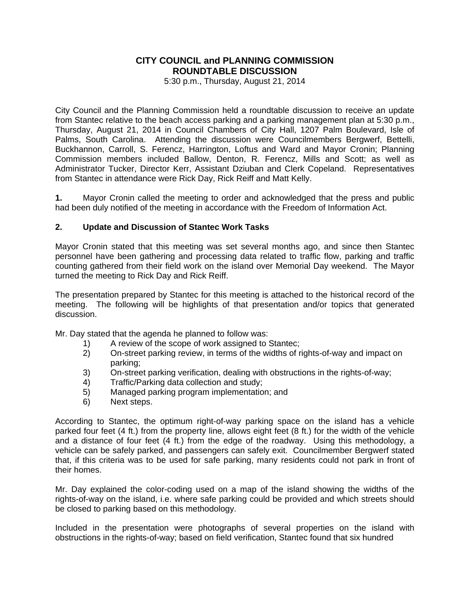## **CITY COUNCIL and PLANNING COMMISSION ROUNDTABLE DISCUSSION**

5:30 p.m., Thursday, August 21, 2014

City Council and the Planning Commission held a roundtable discussion to receive an update from Stantec relative to the beach access parking and a parking management plan at 5:30 p.m., Thursday, August 21, 2014 in Council Chambers of City Hall, 1207 Palm Boulevard, Isle of Palms, South Carolina. Attending the discussion were Councilmembers Bergwerf, Bettelli, Buckhannon, Carroll, S. Ferencz, Harrington, Loftus and Ward and Mayor Cronin; Planning Commission members included Ballow, Denton, R. Ferencz, Mills and Scott; as well as Administrator Tucker, Director Kerr, Assistant Dziuban and Clerk Copeland. Representatives from Stantec in attendance were Rick Day, Rick Reiff and Matt Kelly.

**1.** Mayor Cronin called the meeting to order and acknowledged that the press and public had been duly notified of the meeting in accordance with the Freedom of Information Act.

## **2. Update and Discussion of Stantec Work Tasks**

Mayor Cronin stated that this meeting was set several months ago, and since then Stantec personnel have been gathering and processing data related to traffic flow, parking and traffic counting gathered from their field work on the island over Memorial Day weekend. The Mayor turned the meeting to Rick Day and Rick Reiff.

The presentation prepared by Stantec for this meeting is attached to the historical record of the meeting. The following will be highlights of that presentation and/or topics that generated discussion.

Mr. Day stated that the agenda he planned to follow was:

- 1) A review of the scope of work assigned to Stantec;
- 2) On-street parking review, in terms of the widths of rights-of-way and impact on parking;
- 3) On-street parking verification, dealing with obstructions in the rights-of-way;
- 4) Traffic/Parking data collection and study;
- 5) Managed parking program implementation; and
- 6) Next steps.

According to Stantec, the optimum right-of-way parking space on the island has a vehicle parked four feet (4 ft.) from the property line, allows eight feet (8 ft.) for the width of the vehicle and a distance of four feet (4 ft.) from the edge of the roadway. Using this methodology, a vehicle can be safely parked, and passengers can safely exit. Councilmember Bergwerf stated that, if this criteria was to be used for safe parking, many residents could not park in front of their homes.

Mr. Day explained the color-coding used on a map of the island showing the widths of the rights-of-way on the island, i.e. where safe parking could be provided and which streets should be closed to parking based on this methodology.

Included in the presentation were photographs of several properties on the island with obstructions in the rights-of-way; based on field verification, Stantec found that six hundred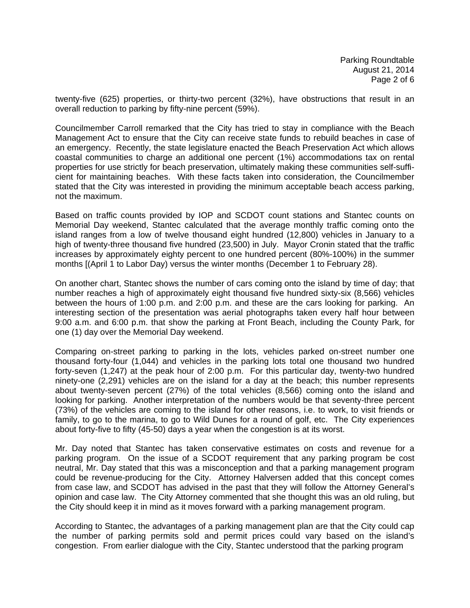twenty-five (625) properties, or thirty-two percent (32%), have obstructions that result in an overall reduction to parking by fifty-nine percent (59%).

Councilmember Carroll remarked that the City has tried to stay in compliance with the Beach Management Act to ensure that the City can receive state funds to rebuild beaches in case of an emergency. Recently, the state legislature enacted the Beach Preservation Act which allows coastal communities to charge an additional one percent (1%) accommodations tax on rental properties for use strictly for beach preservation, ultimately making these communities self-sufficient for maintaining beaches. With these facts taken into consideration, the Councilmember stated that the City was interested in providing the minimum acceptable beach access parking, not the maximum.

Based on traffic counts provided by IOP and SCDOT count stations and Stantec counts on Memorial Day weekend, Stantec calculated that the average monthly traffic coming onto the island ranges from a low of twelve thousand eight hundred (12,800) vehicles in January to a high of twenty-three thousand five hundred (23,500) in July. Mayor Cronin stated that the traffic increases by approximately eighty percent to one hundred percent (80%-100%) in the summer months [(April 1 to Labor Day) versus the winter months (December 1 to February 28).

On another chart, Stantec shows the number of cars coming onto the island by time of day; that number reaches a high of approximately eight thousand five hundred sixty-six (8,566) vehicles between the hours of 1:00 p.m. and 2:00 p.m. and these are the cars looking for parking. An interesting section of the presentation was aerial photographs taken every half hour between 9:00 a.m. and 6:00 p.m. that show the parking at Front Beach, including the County Park, for one (1) day over the Memorial Day weekend.

Comparing on-street parking to parking in the lots, vehicles parked on-street number one thousand forty-four (1,044) and vehicles in the parking lots total one thousand two hundred forty-seven (1,247) at the peak hour of 2:00 p.m. For this particular day, twenty-two hundred ninety-one (2,291) vehicles are on the island for a day at the beach; this number represents about twenty-seven percent (27%) of the total vehicles (8,566) coming onto the island and looking for parking. Another interpretation of the numbers would be that seventy-three percent (73%) of the vehicles are coming to the island for other reasons, i.e. to work, to visit friends or family, to go to the marina, to go to Wild Dunes for a round of golf, etc. The City experiences about forty-five to fifty (45-50) days a year when the congestion is at its worst.

Mr. Day noted that Stantec has taken conservative estimates on costs and revenue for a parking program. On the issue of a SCDOT requirement that any parking program be cost neutral, Mr. Day stated that this was a misconception and that a parking management program could be revenue-producing for the City. Attorney Halversen added that this concept comes from case law, and SCDOT has advised in the past that they will follow the Attorney General's opinion and case law. The City Attorney commented that she thought this was an old ruling, but the City should keep it in mind as it moves forward with a parking management program.

According to Stantec, the advantages of a parking management plan are that the City could cap the number of parking permits sold and permit prices could vary based on the island's congestion. From earlier dialogue with the City, Stantec understood that the parking program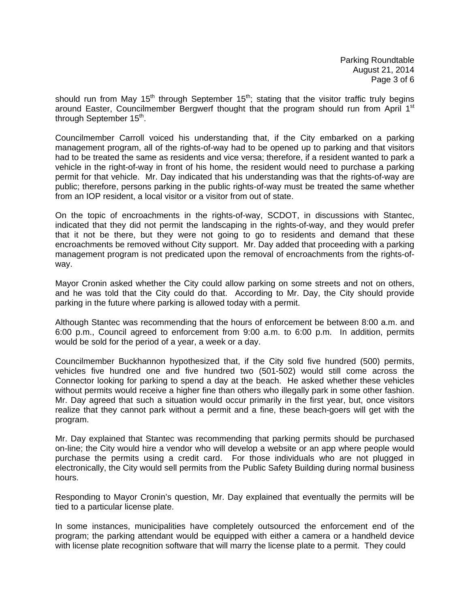Parking Roundtable August 21, 2014 Page 3 of 6

should run from May 15<sup>th</sup> through September 15<sup>th</sup>; stating that the visitor traffic truly begins around Easter, Councilmember Bergwerf thought that the program should run from April 1<sup>st</sup> through September 15<sup>th</sup>.

Councilmember Carroll voiced his understanding that, if the City embarked on a parking management program, all of the rights-of-way had to be opened up to parking and that visitors had to be treated the same as residents and vice versa; therefore, if a resident wanted to park a vehicle in the right-of-way in front of his home, the resident would need to purchase a parking permit for that vehicle. Mr. Day indicated that his understanding was that the rights-of-way are public; therefore, persons parking in the public rights-of-way must be treated the same whether from an IOP resident, a local visitor or a visitor from out of state.

On the topic of encroachments in the rights-of-way, SCDOT, in discussions with Stantec, indicated that they did not permit the landscaping in the rights-of-way, and they would prefer that it not be there, but they were not going to go to residents and demand that these encroachments be removed without City support. Mr. Day added that proceeding with a parking management program is not predicated upon the removal of encroachments from the rights-ofway.

Mayor Cronin asked whether the City could allow parking on some streets and not on others, and he was told that the City could do that. According to Mr. Day, the City should provide parking in the future where parking is allowed today with a permit.

Although Stantec was recommending that the hours of enforcement be between 8:00 a.m. and 6:00 p.m., Council agreed to enforcement from 9:00 a.m. to 6:00 p.m. In addition, permits would be sold for the period of a year, a week or a day.

Councilmember Buckhannon hypothesized that, if the City sold five hundred (500) permits, vehicles five hundred one and five hundred two (501-502) would still come across the Connector looking for parking to spend a day at the beach. He asked whether these vehicles without permits would receive a higher fine than others who illegally park in some other fashion. Mr. Day agreed that such a situation would occur primarily in the first year, but, once visitors realize that they cannot park without a permit and a fine, these beach-goers will get with the program.

Mr. Day explained that Stantec was recommending that parking permits should be purchased on-line; the City would hire a vendor who will develop a website or an app where people would purchase the permits using a credit card. For those individuals who are not plugged in electronically, the City would sell permits from the Public Safety Building during normal business hours.

Responding to Mayor Cronin's question, Mr. Day explained that eventually the permits will be tied to a particular license plate.

In some instances, municipalities have completely outsourced the enforcement end of the program; the parking attendant would be equipped with either a camera or a handheld device with license plate recognition software that will marry the license plate to a permit. They could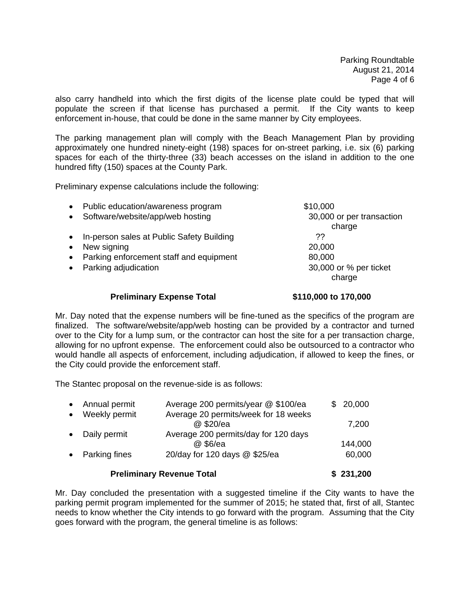Parking Roundtable August 21, 2014 Page 4 of 6

also carry handheld into which the first digits of the license plate could be typed that will populate the screen if that license has purchased a permit. If the City wants to keep enforcement in-house, that could be done in the same manner by City employees.

The parking management plan will comply with the Beach Management Plan by providing approximately one hundred ninety-eight (198) spaces for on-street parking, i.e. six (6) parking spaces for each of the thirty-three (33) beach accesses on the island in addition to the one hundred fifty (150) spaces at the County Park.

Preliminary expense calculations include the following:

|           | <b>Preliminary Expense Total</b>          | \$110,000 to 170,000      |
|-----------|-------------------------------------------|---------------------------|
|           |                                           | charge                    |
| $\bullet$ | Parking adjudication                      | 30,000 or % per ticket    |
| $\bullet$ | Parking enforcement staff and equipment   | 80,000                    |
| $\bullet$ | New signing                               | 20,000                    |
| $\bullet$ | In-person sales at Public Safety Building | ??                        |
|           |                                           | charge                    |
| $\bullet$ | Software/website/app/web hosting          | 30,000 or per transaction |
| $\bullet$ | Public education/awareness program        | \$10,000                  |

Mr. Day noted that the expense numbers will be fine-tuned as the specifics of the program are finalized. The software/website/app/web hosting can be provided by a contractor and turned over to the City for a lump sum, or the contractor can host the site for a per transaction charge, allowing for no upfront expense. The enforcement could also be outsourced to a contractor who would handle all aspects of enforcement, including adjudication, if allowed to keep the fines, or the City could provide the enforcement staff.

The Stantec proposal on the revenue-side is as follows:

| Annual permit<br>$\bullet$ | Average 200 permits/year @ \$100/ea  | \$20,000 |
|----------------------------|--------------------------------------|----------|
| Weekly permit<br>$\bullet$ | Average 20 permits/week for 18 weeks |          |
|                            | @ \$20/ea                            | 7,200    |
| Daily permit               | Average 200 permits/day for 120 days |          |
|                            | @ \$6/ea                             | 144,000  |
| <b>Parking fines</b>       | 20/day for 120 days @ \$25/ea        | 60,000   |
|                            |                                      |          |

## **Preliminary Revenue Total \$ 231,200**

Mr. Day concluded the presentation with a suggested timeline if the City wants to have the parking permit program implemented for the summer of 2015; he stated that, first of all, Stantec needs to know whether the City intends to go forward with the program. Assuming that the City goes forward with the program, the general timeline is as follows: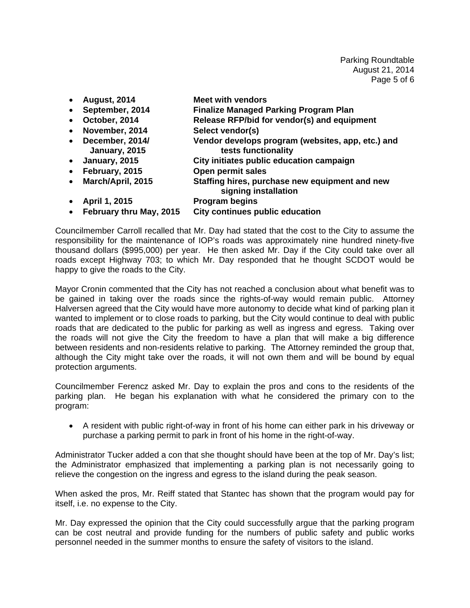Parking Roundtable August 21, 2014 Page 5 of 6

- **August, 2014 Meet with vendors**
- **September, 2014 Finalize Managed Parking Program Plan**
- **October, 2014 Release RFP/bid for vendor(s) and equipment**
- **November, 2014 Select vendor(s)**
- **December, 2014/ Vendor develops program (websites, app, etc.) and January, 2015** tests functionality
- **January, 2015 City initiates public education campaign**
- **February, 2015 Open permit sales**
- **March/April, 2015 Staffing hires, purchase new equipment and new signing installation**
- **April 1, 2015 Program begins**
- **February thru May, 2015 City continues public education**

Councilmember Carroll recalled that Mr. Day had stated that the cost to the City to assume the responsibility for the maintenance of IOP's roads was approximately nine hundred ninety-five thousand dollars (\$995,000) per year. He then asked Mr. Day if the City could take over all roads except Highway 703; to which Mr. Day responded that he thought SCDOT would be happy to give the roads to the City.

Mayor Cronin commented that the City has not reached a conclusion about what benefit was to be gained in taking over the roads since the rights-of-way would remain public. Attorney Halversen agreed that the City would have more autonomy to decide what kind of parking plan it wanted to implement or to close roads to parking, but the City would continue to deal with public roads that are dedicated to the public for parking as well as ingress and egress. Taking over the roads will not give the City the freedom to have a plan that will make a big difference between residents and non-residents relative to parking. The Attorney reminded the group that, although the City might take over the roads, it will not own them and will be bound by equal protection arguments.

Councilmember Ferencz asked Mr. Day to explain the pros and cons to the residents of the parking plan. He began his explanation with what he considered the primary con to the program:

• A resident with public right-of-way in front of his home can either park in his driveway or purchase a parking permit to park in front of his home in the right-of-way.

Administrator Tucker added a con that she thought should have been at the top of Mr. Day's list; the Administrator emphasized that implementing a parking plan is not necessarily going to relieve the congestion on the ingress and egress to the island during the peak season.

When asked the pros, Mr. Reiff stated that Stantec has shown that the program would pay for itself, i.e. no expense to the City.

Mr. Day expressed the opinion that the City could successfully argue that the parking program can be cost neutral and provide funding for the numbers of public safety and public works personnel needed in the summer months to ensure the safety of visitors to the island.